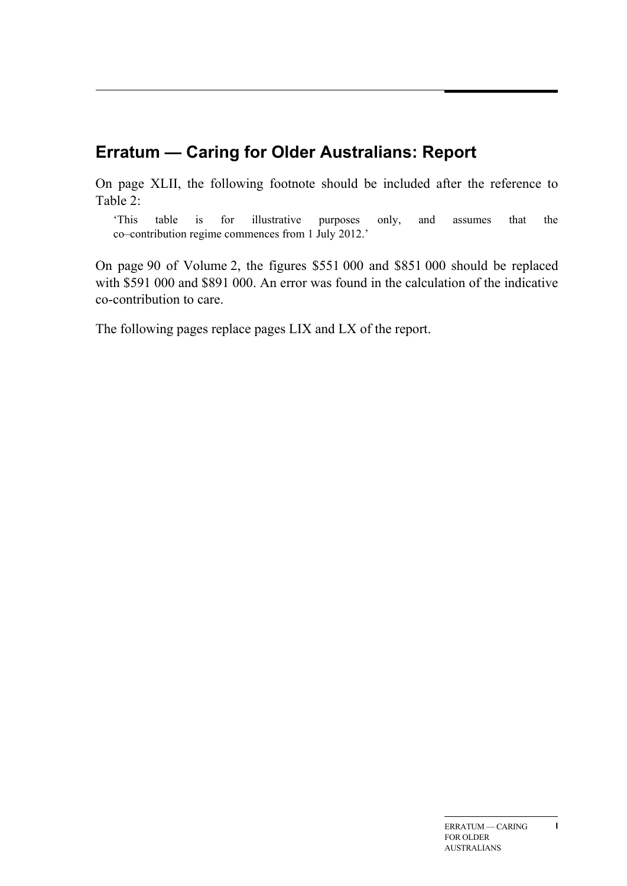# **Erratum — Caring for Older Australians: Report**

On page XLII, the following footnote should be included after the reference to Table 2:

'This table is for illustrative purposes only, and assumes that the co–contribution regime commences from 1 July 2012.'

On page 90 of Volume 2, the figures \$551 000 and \$851 000 should be replaced with \$591 000 and \$891 000. An error was found in the calculation of the indicative co-contribution to care.

The following pages replace pages LIX and LX of the report.

**I**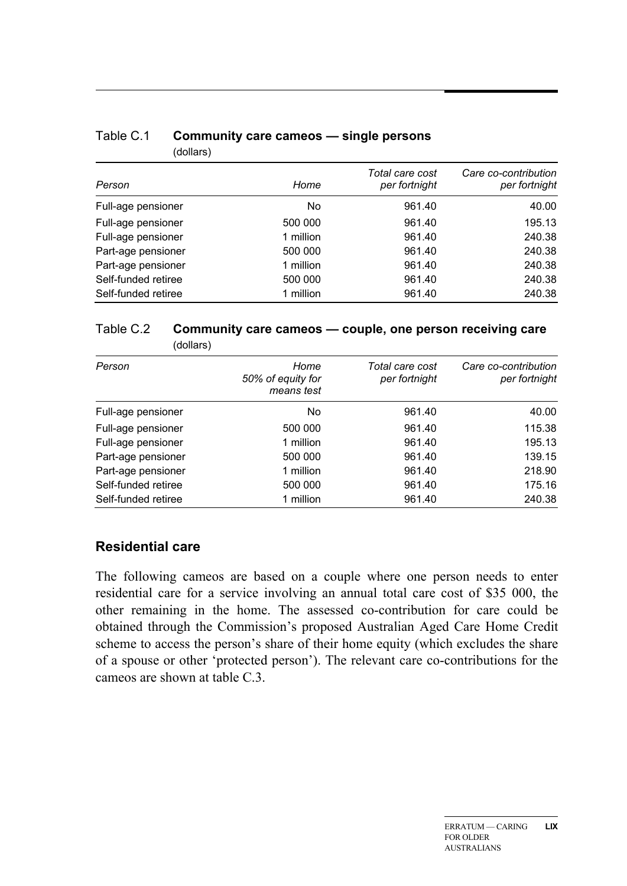| per fortnight<br>per fortnight |                                         |
|--------------------------------|-----------------------------------------|
| 40.00<br>961.40                |                                         |
| 195.13<br>961.40               |                                         |
| 240.38<br>961.40               |                                         |
| 240.38<br>961.40               |                                         |
| 240.38<br>961.40               |                                         |
| 240.38<br>961.40               |                                         |
| 240.38<br>961.40               |                                         |
|                                | Total care cost<br>Care co-contribution |

### Table C.1 **Community care cameos — single persons**  (dollars)

#### Table C.2 **Community care cameos — couple, one person receiving care**  (dollars)

| Person              | Home                            | Total care cost | Care co-contribution |
|---------------------|---------------------------------|-----------------|----------------------|
|                     | 50% of equity for<br>means test | per fortnight   | per fortnight        |
| Full-age pensioner  | No                              | 961.40          | 40.00                |
| Full-age pensioner  | 500 000                         | 961.40          | 115.38               |
| Full-age pensioner  | 1 million                       | 961.40          | 195.13               |
| Part-age pensioner  | 500 000                         | 961.40          | 139.15               |
| Part-age pensioner  | 1 million                       | 961.40          | 218.90               |
| Self-funded retiree | 500 000                         | 961.40          | 175.16               |
| Self-funded retiree | 1 million                       | 961.40          | 240.38               |

## **Residential care**

The following cameos are based on a couple where one person needs to enter residential care for a service involving an annual total care cost of \$35 000, the other remaining in the home. The assessed co-contribution for care could be obtained through the Commission's proposed Australian Aged Care Home Credit scheme to access the person's share of their home equity (which excludes the share of a spouse or other 'protected person'). The relevant care co-contributions for the cameos are shown at table C.3.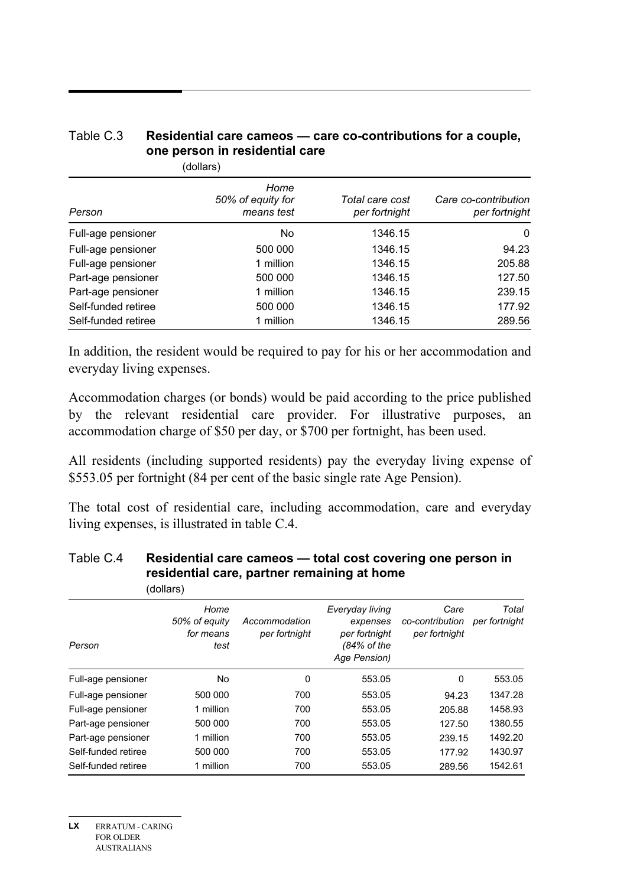### Table C.3 **Residential care cameos — care co-contributions for a couple, one person in residential care**

(dollars)

| Person              | Home<br>50% of equity for<br>means test | Total care cost<br>per fortnight | Care co-contribution<br>per fortnight |
|---------------------|-----------------------------------------|----------------------------------|---------------------------------------|
|                     | No.                                     | 1346.15                          | 0                                     |
| Full-age pensioner  |                                         |                                  |                                       |
| Full-age pensioner  | 500 000                                 | 1346.15                          | 94.23                                 |
| Full-age pensioner  | 1 million                               | 1346.15                          | 205.88                                |
| Part-age pensioner  | 500 000                                 | 1346.15                          | 127.50                                |
| Part-age pensioner  | 1 million                               | 1346.15                          | 239.15                                |
| Self-funded retiree | 500 000                                 | 1346.15                          | 177.92                                |
| Self-funded retiree | 1 million                               | 1346.15                          | 289.56                                |

In addition, the resident would be required to pay for his or her accommodation and everyday living expenses.

Accommodation charges (or bonds) would be paid according to the price published by the relevant residential care provider. For illustrative purposes, an accommodation charge of \$50 per day, or \$700 per fortnight, has been used.

All residents (including supported residents) pay the everyday living expense of \$553.05 per fortnight (84 per cent of the basic single rate Age Pension).

The total cost of residential care, including accommodation, care and everyday living expenses, is illustrated in table C.4.

|                     | (dollars)                                  |                                |                                                                             |                                          |                        |
|---------------------|--------------------------------------------|--------------------------------|-----------------------------------------------------------------------------|------------------------------------------|------------------------|
| Person              | Home<br>50% of equity<br>for means<br>test | Accommodation<br>per fortnight | Everyday living<br>expenses<br>per fortnight<br>(84% of the<br>Age Pension) | Care<br>co-contribution<br>per fortnight | Total<br>per fortnight |
| Full-age pensioner  | No                                         | 0                              | 553.05                                                                      | 0                                        | 553.05                 |
| Full-age pensioner  | 500 000                                    | 700                            | 553.05                                                                      | 94.23                                    | 1347.28                |
| Full-age pensioner  | 1 million                                  | 700                            | 553.05                                                                      | 205.88                                   | 1458.93                |
| Part-age pensioner  | 500 000                                    | 700                            | 553.05                                                                      | 127.50                                   | 1380.55                |
| Part-age pensioner  | 1 million                                  | 700                            | 553.05                                                                      | 239.15                                   | 1492.20                |
| Self-funded retiree | 500 000                                    | 700                            | 553.05                                                                      | 177.92                                   | 1430.97                |
| Self-funded retiree | 1 million                                  | 700                            | 553.05                                                                      | 289.56                                   | 1542.61                |

#### Table C.4 **Residential care cameos — total cost covering one person in residential care, partner remaining at home**  (dollars)